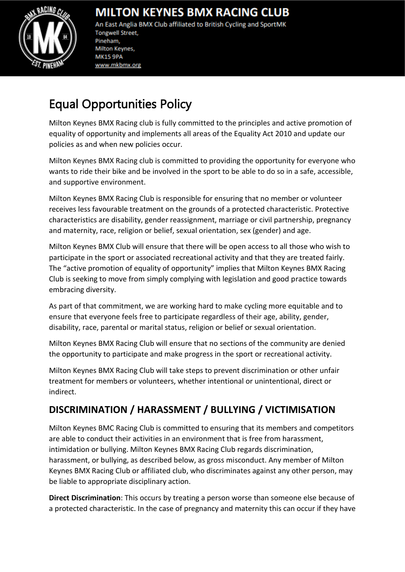

## **MILTON KEYNES BMX RACING CLUB**

An East Anglia BMX Club affiliated to British Cycling and SportMK **Tongwell Street,** Pineham, Milton Keynes, **MK15 9PA** www.mkbmx.org

# Equal Opportunities Policy

Milton Keynes BMX Racing club is fully committed to the principles and active promotion of equality of opportunity and implements all areas of the Equality Act 2010 and update our policies as and when new policies occur.

Ξ

Milton Keynes BMX Racing club is committed to providing the opportunity for everyone who wants to ride their bike and be involved in the sport to be able to do so in a safe, accessible, and supportive environment.

Milton Keynes BMX Racing Club is responsible for ensuring that no member or volunteer receives less favourable treatment on the grounds of a protected characteristic. Protective characteristics are disability, gender reassignment, marriage or civil partnership, pregnancy and maternity, race, religion or belief, sexual orientation, sex (gender) and age.

Milton Keynes BMX Club will ensure that there will be open access to all those who wish to participate in the sport or associated recreational activity and that they are treated fairly. The "active promotion of equality of opportunity" implies that Milton Keynes BMX Racing Club is seeking to move from simply complying with legislation and good practice towards embracing diversity.

As part of that commitment, we are working hard to make cycling more equitable and to ensure that everyone feels free to participate regardless of their age, ability, gender, disability, race, parental or marital status, religion or belief or sexual orientation.

Milton Keynes BMX Racing Club will ensure that no sections of the community are denied the opportunity to participate and make progress in the sport or recreational activity.

Milton Keynes BMX Racing Club will take steps to prevent discrimination or other unfair treatment for members or volunteers, whether intentional or unintentional, direct or indirect.

### **DISCRIMINATION / HARASSMENT / BULLYING / VICTIMISATION**

Milton Keynes BMC Racing Club is committed to ensuring that its members and competitors are able to conduct their activities in an environment that is free from harassment, intimidation or bullying. Milton Keynes BMX Racing Club regards discrimination, harassment, or bullying, as described below, as gross misconduct. Any member of Milton Keynes BMX Racing Club or affiliated club, who discriminates against any other person, may be liable to appropriate disciplinary action.

**Direct Discrimination**: This occurs by treating a person worse than someone else because of a protected characteristic. In the case of pregnancy and maternity this can occur if they have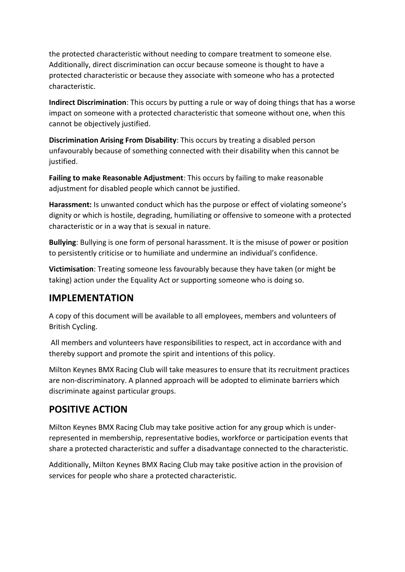the protected characteristic without needing to compare treatment to someone else. Additionally, direct discrimination can occur because someone is thought to have a protected characteristic or because they associate with someone who has a protected characteristic.

**Indirect Discrimination**: This occurs by putting a rule or way of doing things that has a worse impact on someone with a protected characteristic that someone without one, when this cannot be objectively justified.

**Discrimination Arising From Disability**: This occurs by treating a disabled person unfavourably because of something connected with their disability when this cannot be justified.

**Failing to make Reasonable Adjustment**: This occurs by failing to make reasonable adjustment for disabled people which cannot be justified.

**Harassment:** Is unwanted conduct which has the purpose or effect of violating someone's dignity or which is hostile, degrading, humiliating or offensive to someone with a protected characteristic or in a way that is sexual in nature.

**Bullying**: Bullying is one form of personal harassment. It is the misuse of power or position to persistently criticise or to humiliate and undermine an individual's confidence.

**Victimisation**: Treating someone less favourably because they have taken (or might be taking) action under the Equality Act or supporting someone who is doing so.

#### **IMPLEMENTATION**

A copy of this document will be available to all employees, members and volunteers of British Cycling.

All members and volunteers have responsibilities to respect, act in accordance with and thereby support and promote the spirit and intentions of this policy.

Milton Keynes BMX Racing Club will take measures to ensure that its recruitment practices are non-discriminatory. A planned approach will be adopted to eliminate barriers which discriminate against particular groups.

#### **POSITIVE ACTION**

Milton Keynes BMX Racing Club may take positive action for any group which is underrepresented in membership, representative bodies, workforce or participation events that share a protected characteristic and suffer a disadvantage connected to the characteristic.

Additionally, Milton Keynes BMX Racing Club may take positive action in the provision of services for people who share a protected characteristic.